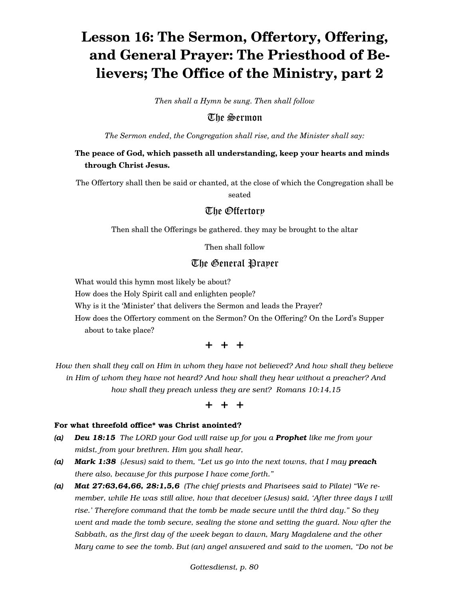# **Lesson 16: The Sermon, Offertory, Offering, and General Prayer: The Priesthood of Believers; The Office of the Ministry, part 2**

*Then shall a Hymn be sung. Then shall follow*

The Sermon

*The Sermon ended, the Congregation shall rise, and the Minister shall say:*

# **The peace of God, which passeth all understanding, keep your hearts and minds through Christ Jesus.**

The Offertory shall then be said or chanted, at the close of which the Congregation shall be

seated

# The Offertory

Then shall the Offerings be gathered. they may be brought to the altar

Then shall follow

# The General Prayer

What would this hymn most likely be about?

How does the Holy Spirit call and enlighten people?

Why is it the 'Minister' that delivers the Sermon and leads the Prayer?

How does the Offertory comment on the Sermon? On the Offering? On the Lord's Supper about to take place?

# + + +

*How then shall they call on Him in whom they have not believed? And how shall they believe in Him of whom they have not heard? And how shall they hear without a preacher? And how shall they preach unless they are sent? Romans 10:14,15*

+ + +

#### For what threefold office\* was Christ anointed?

- *(a) Deu 18:15 The LORD your God will raise up for you a Prophet like me from your midst, from your brethren. Him you shall hear,*
- *(a) Mark 1:38 (Jesus) said to them, "Let us go into the next towns, that I may preach there also, because for this purpose I have come forth."*
- *(a) Mat 27:63,64,66, 28:1,5,6 (The chief priests and Pharisees said to Pilate) "We remember, while He was still alive, how that deceiver (Jesus) said, 'After three days I will rise.' Therefore command that the tomb be made secure until the third day." So they went and made the tomb secure, sealing the stone and setting the guard. Now after the Sabbath, as the first day of the week began to dawn, Mary Magdalene and the other Mary came to see the tomb. But (an) angel answered and said to the women, "Do not be*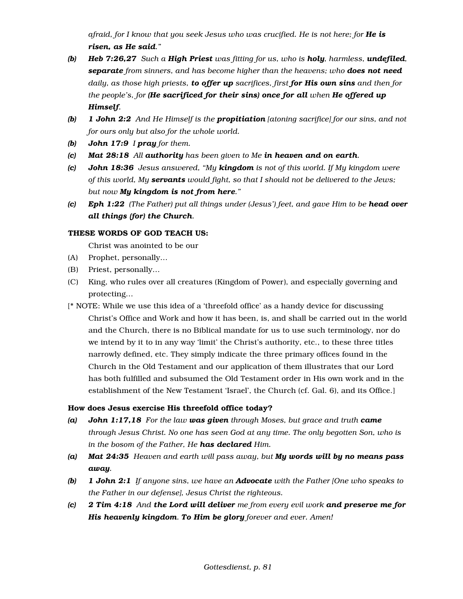*afraid, for I know that you seek Jesus who was crucified. He is not here; for He is risen, as He said."*

- *(b) Heb 7:26,27 Such a High Priest was fitting for us, who is holy, harmless, undefiled, separate from sinners, and has become higher than the heavens; who does not need daily, as those high priests, to offer up sacrifices, first for His own sins and then for the people's, for (He sacrificed for their sins) once for all when He offered up Himself.*
- *(b) 1 John 2:2 And He Himself is the propitiation [atoning sacrifice] for our sins, and not for ours only but also for the whole world.*
- *(b) John 17:9 I pray for them.*
- *(c) Mat 28:18 All authority has been given to Me in heaven and on earth.*
- *(c) John 18:36 Jesus answered, "My kingdom is not of this world. If My kingdom were of this world, My servants would fight, so that I should not be delivered to the Jews; but now My kingdom is not from here."*
- *(c) Eph 1:22 (The Father) put all things under (Jesus') feet, and gave Him to be head over all things (for) the Church.*

## THESE WORDS OF GOD TEACH US:

Christ was anointed to be our

- (A) Prophet, personally…
- (B) Priest, personally…
- (C) King, who rules over all creatures (Kingdom of Power), and especially governing and protecting…
- [\* NOTE: While we use this idea of a 'threefold office' as a handy device for discussing Christ's Office and Work and how it has been, is, and shall be carried out in the world and the Church, there is no Biblical mandate for us to use such terminology, nor do we intend by it to in any way 'limit' the Christ's authority, etc., to these three titles narrowly defined, etc. They simply indicate the three primary offices found in the Church in the Old Testament and our application of them illustrates that our Lord has both fulfilled and subsumed the Old Testament order in His own work and in the establishment of the New Testament 'Israel', the Church (cf. Gal. 6), and its Office.]

## How does Jesus exercise His threefold office today?

- *(a) John 1:17,18 For the law was given through Moses, but grace and truth came through Jesus Christ. No one has seen God at any time. The only begotten Son, who is in the bosom of the Father, He has declared Him.*
- *(a) Mat 24:35 Heaven and earth will pass away, but My words will by no means pass away.*
- *(b) 1 John 2:1 If anyone sins, we have an Advocate with the Father [One who speaks to the Father in our defense], Jesus Christ the righteous.*
- *(c) 2 Tim 4:18 And the Lord will deliver me from every evil work and preserve me for His heavenly kingdom. To Him be glory forever and ever. Amen!*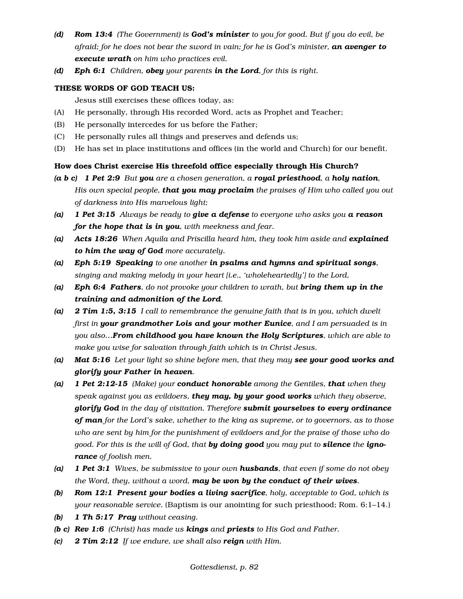- *(d) Rom 13:4 (The Government) is God's minister to you for good. But if you do evil, be afraid; for he does not bear the sword in vain; for he is God's minister, an avenger to execute wrath on him who practices evil.*
- *(d) Eph 6:1 Children, obey your parents in the Lord, for this is right.*

#### THESE WORDS OF GOD TEACH US:

Jesus still exercises these offices today, as:

- (A) He personally, through His recorded Word, acts as Prophet and Teacher;
- (B) He personally intercedes for us before the Father;
- (C) He personally rules all things and preserves and defends us;
- (D) He has set in place institutions and offices (in the world and Church) for our benefit.

#### How does Christ exercise His threefold office especially through His Church?

- *(a b c) 1 Pet 2:9 But you are a chosen generation, a royal priesthood, a holy nation, His own special people, that you may proclaim the praises of Him who called you out of darkness into His marvelous light;*
- *(a) 1 Pet 3:15 Always be ready to give a defense to everyone who asks you a reason for the hope that is in you, with meekness and fear.*
- *(a) Acts 18:26* When Aquila and Priscilla heard him, they took him aside and explained *to him the way of God more accurately.*
- *(a) Eph 5:19 Speaking to one another in psalms and hymns and spiritual songs, singing and making melody in your heart [i.e., 'wholeheartedly'] to the Lord,*
- *(a) Eph 6:4 Fathers, do not provoke your children to wrath, but bring them up in the training and admonition of the Lord.*
- *(a) 2 Tim 1:5, 3:15 I call to remembrance the genuine faith that is in you, which dwelt first in your grandmother Lois and your mother Eunice, and I am persuaded is in you also…From childhood you have known the Holy Scriptures, which are able to make you wise for salvation through faith which is in Christ Jesus.*
- *(a) Mat 5:16 Let your light so shine before men, that they may see your good works and glorify your Father in heaven.*
- *(a) 1 Pet 2:12-15 (Make) your conduct honorable among the Gentiles, that when they speak against you as evildoers, they may, by your good works which they observe, glorify God in the day of visitation. Therefore submit yourselves to every ordinance of man for the Lord's sake, whether to the king as supreme, or to governors, as to those who are sent by him for the punishment of evildoers and for the praise of those who do good. For this is the will of God, that by doing good you may put to silence the ignorance of foolish men.*
- *(a) 1 Pet 3:1 Wives, be submissive to your own husbands, that even if some do not obey the Word, they, without a word, may be won by the conduct of their wives.*
- *(b) Rom 12:1 Present your bodies a living sacrifice, holy, acceptable to God, which is your reasonable service.* (Baptism is our anointing for such priesthood; Rom. 6:1–14.)
- *(b) 1 Th 5:17 Pray without ceasing.*
- *(b c) Rev 1:6 (Christ) has made us kings and priests to His God and Father.*
- *(c) 2 Tim 2:12 If we endure, we shall also reign with Him.*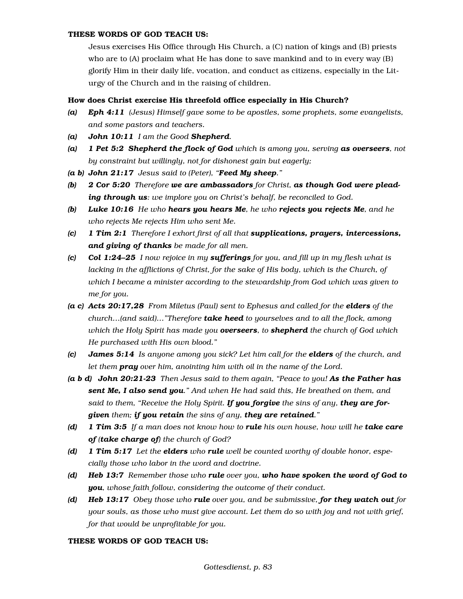#### THESE WORDS OF GOD TEACH US:

Jesus exercises His Office through His Church, a (C) nation of kings and (B) priests who are to (A) proclaim what He has done to save mankind and to in every way (B) glorify Him in their daily life, vocation, and conduct as citizens, especially in the Liturgy of the Church and in the raising of children.

#### How does Christ exercise His threefold office especially in His Church?

- *(a) Eph 4:11 (Jesus) Himself gave some to be apostles, some prophets, some evangelists, and some pastors and teachers.*
- *(a) John 10:11 I am the Good Shepherd.*
- *(a) 1 Pet 5:2 Shepherd the flock of God which is among you, serving as overseers, not by constraint but willingly, not for dishonest gain but eagerly;*
- *(a b) John 21:17 Jesus said to (Peter), "Feed My sheep."*
- *(b) 2 Cor 5:20 Therefore we are ambassadors for Christ, as though God were pleading through us: we implore you on Christ's behalf, be reconciled to God.*
- *(b) Luke 10:16 He who hears you hears Me, he who rejects you rejects Me, and he who rejects Me rejects Him who sent Me.*
- *(c) 1 Tim 2:1 Therefore I exhort first of all that supplications, prayers, intercessions, and giving of thanks be made for all men.*
- *(c) Col 1:24–25 I now rejoice in my sufferings for you, and fill up in my flesh what is lacking in the afflictions of Christ, for the sake of His body, which is the Church, of which I became a minister according to the stewardship from God which was given to me for you.*
- *(a c) Acts 20:17,28 From Miletus (Paul) sent to Ephesus and called for the elders of the church…(and said)…"Therefore take heed to yourselves and to all the flock, among which the Holy Spirit has made you overseers, to shepherd the church of God which He purchased with His own blood."*
- *(c) James 5:14 Is anyone among you sick? Let him call for the elders of the church, and let them pray over him, anointing him with oil in the name of the Lord.*
- *(a b d) John 20:21-23 Then Jesus said to them again, "Peace to you! As the Father has sent Me, I also send you." And when He had said this, He breathed on them, and said to them, "Receive the Holy Spirit. If you forgive the sins of any, they are forgiven them; if you retain the sins of any, they are retained."*
- *(d) 1 Tim 3:5 If a man does not know how to rule his own house, how will he take care of (take charge of) the church of God?*
- *(d) 1 Tim 5:17 Let the elders who rule well be counted worthy of double honor, especially those who labor in the word and doctrine.*
- *(d) Heb 13:7 Remember those who rule over you, who have spoken the word of God to you, whose faith follow, considering the outcome of their conduct.*
- *(d) Heb 13:17 Obey those who rule over you, and be submissive, for they watch out for your souls, as those who must give account. Let them do so with joy and not with grief, for that would be unprofitable for you.*

#### THESE WORDS OF GOD TEACH US: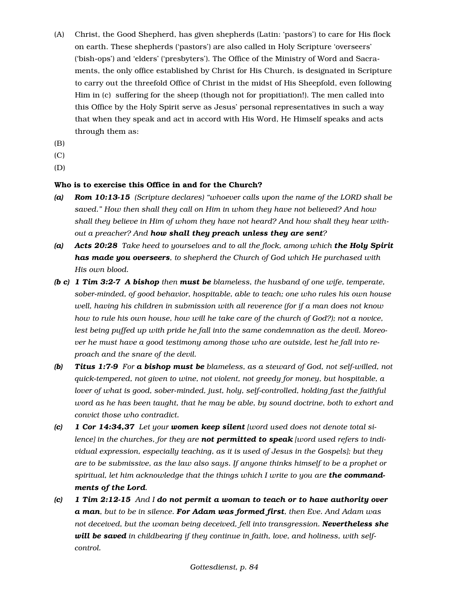- (A) Christ, the Good Shepherd, has given shepherds (Latin: 'pastors') to care for His flock on earth. These shepherds ('pastors') are also called in Holy Scripture 'overseers' ('bish-ops') and 'elders' ('presbyters'). The Office of the Ministry of Word and Sacraments, the only office established by Christ for His Church, is designated in Scripture to carry out the threefold Office of Christ in the midst of His Sheepfold, even following Him in (c) suffering for the sheep (though not for propitiation!). The men called into this Office by the Holy Spirit serve as Jesus' personal representatives in such a way that when they speak and act in accord with His Word, He Himself speaks and acts through them as:
- (B)
- (C)

(D)

## Who is to exercise this Office in and for the Church?

- *(a) Rom 10:13-15 (Scripture declares) "whoever calls upon the name of the LORD shall be saved." How then shall they call on Him in whom they have not believed? And how shall they believe in Him of whom they have not heard? And how shall they hear without a preacher? And how shall they preach unless they are sent?*
- *(a) Acts 20:28 Take heed to yourselves and to all the flock, among which the Holy Spirit has made you overseers, to shepherd the Church of God which He purchased with His own blood.*
- *(b c) 1 Tim 3:2-7 A bishop then must be blameless, the husband of one wife, temperate, sober-minded, of good behavior, hospitable, able to teach; one who rules his own house well, having his children in submission with all reverence (for if a man does not know how to rule his own house, how will he take care of the church of God?); not a novice, lest being puffed up with pride he fall into the same condemnation as the devil. Moreover he must have a good testimony among those who are outside, lest he fall into reproach and the snare of the devil.*
- *(b) Titus 1:7-9 For a bishop must be blameless, as a steward of God, not self-willed, not quick-tempered, not given to wine, not violent, not greedy for money, but hospitable, a lover of what is good, sober-minded, just, holy, self-controlled, holding fast the faithful word as he has been taught, that he may be able, by sound doctrine, both to exhort and convict those who contradict.*
- *(c) 1 Cor 14:34,37 Let your women keep silent [word used does not denote total silence] in the churches, for they are not permitted to speak [word used refers to individual expression, especially teaching, as it is used of Jesus in the Gospels]; but they are to be submissive, as the law also says. If anyone thinks himself to be a prophet or spiritual, let him acknowledge that the things which I write to you are the commandments of the Lord.*
- *(c) 1 Tim 2:12-15 And I do not permit a woman to teach or to have authority over a man, but to be in silence. For Adam was formed first, then Eve. And Adam was not deceived, but the woman being deceived, fell into transgression. Nevertheless she will be saved in childbearing if they continue in faith, love, and holiness, with selfcontrol.*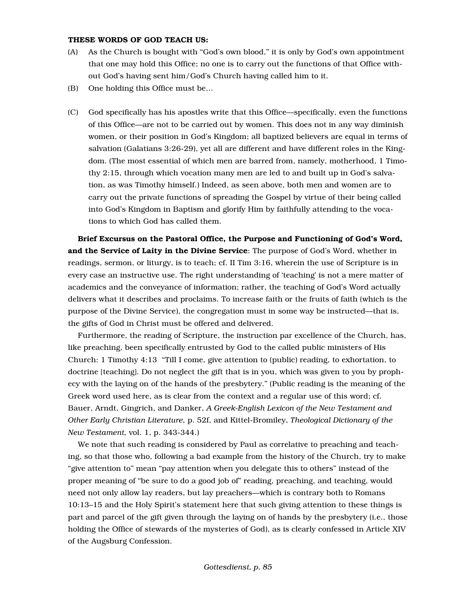#### THESE WORDS OF GOD TEACH US:

- (A) As the Church is bought with "God's own blood," it is only by God's own appointment that one may hold this Office; no one is to carry out the functions of that Office without God's having sent him/God's Church having called him to it.
- (B) One holding this Office must be…
- (C) God specifically has his apostles write that this Office—specifically, even the functions of this Office—are not to be carried out by women. This does not in any way diminish women, or their position in God's Kingdom; all baptized believers are equal in terms of salvation (Galatians 3:26-29), yet all are different and have different roles in the Kingdom. (The most essential of which men are barred from, namely, motherhood, 1 Timothy 2:15, through which vocation many men are led to and built up in God's salvation, as was Timothy himself.) Indeed, as seen above, both men and women are to carry out the private functions of spreading the Gospel by virtue of their being called into God's Kingdom in Baptism and glorify Him by faithfully attending to the vocations to which God has called them.

Brief Excursus on the Pastoral Office, the Purpose and Functioning of God's Word, and the Service of Laity in the Divine Service: The purpose of God's Word, whether in readings, sermon, or liturgy, is to teach; cf. II Tim 3:16, wherein the use of Scripture is in every case an instructive use. The right understanding of 'teaching' is not a mere matter of academics and the conveyance of information; rather, the teaching of God's Word actually delivers what it describes and proclaims. To increase faith or the fruits of faith (which is the purpose of the Divine Service), the congregation must in some way be instructed—that is, the gifts of God in Christ must be offered and delivered.

Furthermore, the reading of Scripture, the instruction par excellence of the Church, has, like preaching, been specifically entrusted by God to the called public ministers of His Church: 1 Timothy 4:13 "Till I come, give attention to (public) reading, to exhortation, to doctrine [teaching]. Do not neglect the gift that is in you, which was given to you by prophecy with the laying on of the hands of the presbytery." (Public reading is the meaning of the Greek word used here, as is clear from the context and a regular use of this word; cf. Bauer, Arndt, Gingrich, and Danker, *A Greek-English Lexicon of the New Testament and Other Early Christian Literature,* p. 52f, and Kittel-Bromiley, *Theological Dictionary of the New Testament,* vol. 1, p. 343-344.)

We note that such reading is considered by Paul as correlative to preaching and teaching, so that those who, following a bad example from the history of the Church, try to make "give attention to" mean "pay attention when you delegate this to others" instead of the proper meaning of "be sure to do a good job of" reading, preaching, and teaching, would need not only allow lay readers, but lay preachers—which is contrary both to Romans 10:13–15 and the Holy Spirit's statement here that such giving attention to these things is part and parcel of the gift given through the laying on of hands by the presbytery (i.e., those holding the Office of stewards of the mysteries of God), as is clearly confessed in Article XIV of the Augsburg Confession.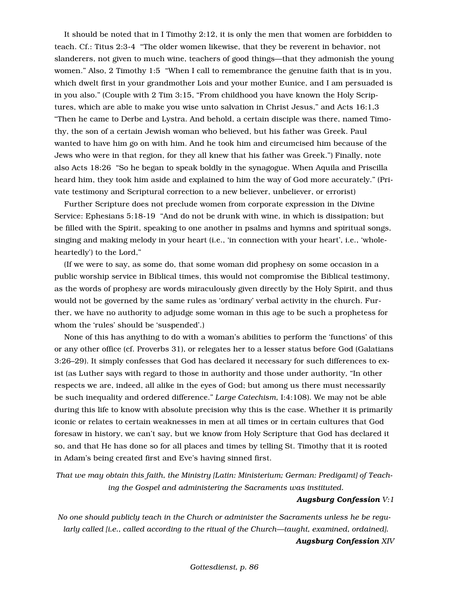It should be noted that in I Timothy 2:12, it is only the men that women are forbidden to teach. Cf.: Titus 2:3-4 "The older women likewise, that they be reverent in behavior, not slanderers, not given to much wine, teachers of good things—that they admonish the young women." Also, 2 Timothy 1:5 "When I call to remembrance the genuine faith that is in you, which dwelt first in your grandmother Lois and your mother Eunice, and I am persuaded is in you also." (Couple with 2 Tim 3:15, "From childhood you have known the Holy Scriptures, which are able to make you wise unto salvation in Christ Jesus," and Acts 16:1,3 "Then he came to Derbe and Lystra. And behold, a certain disciple was there, named Timothy, the son of a certain Jewish woman who believed, but his father was Greek. Paul wanted to have him go on with him. And he took him and circumcised him because of the Jews who were in that region, for they all knew that his father was Greek.") Finally, note also Acts 18:26 "So he began to speak boldly in the synagogue. When Aquila and Priscilla heard him, they took him aside and explained to him the way of God more accurately." (Private testimony and Scriptural correction to a new believer, unbeliever, or errorist)

Further Scripture does not preclude women from corporate expression in the Divine Service: Ephesians 5:18-19 "And do not be drunk with wine, in which is dissipation; but be filled with the Spirit, speaking to one another in psalms and hymns and spiritual songs, singing and making melody in your heart (i.e., 'in connection with your heart', i.e., 'wholeheartedly') to the Lord,"

(If we were to say, as some do, that some woman did prophesy on some occasion in a public worship service in Biblical times, this would not compromise the Biblical testimony, as the words of prophesy are words miraculously given directly by the Holy Spirit, and thus would not be governed by the same rules as 'ordinary' verbal activity in the church. Further, we have no authority to adjudge some woman in this age to be such a prophetess for whom the 'rules' should be 'suspended'.)

None of this has anything to do with a woman's abilities to perform the 'functions' of this or any other office (cf. Proverbs 31), or relegates her to a lesser status before God (Galatians 3:26–29). It simply confesses that God has declared it necessary for such differences to exist (as Luther says with regard to those in authority and those under authority, "In other respects we are, indeed, all alike in the eyes of God; but among us there must necessarily be such inequality and ordered difference." *Large Catechism,* I:4:108). We may not be able during this life to know with absolute precision why this is the case. Whether it is primarily iconic or relates to certain weaknesses in men at all times or in certain cultures that God foresaw in history, we can't say, but we know from Holy Scripture that God has declared it so, and that He has done so for all places and times by telling St. Timothy that it is rooted in Adam's being created first and Eve's having sinned first.

*That we may obtain this faith, the Ministry [Latin: Ministerium; German: Predigamt] of Teaching the Gospel and administering the Sacraments was instituted.*

## *Augsburg Confession V:1*

*No one should publicly teach in the Church or administer the Sacraments unless he be regularly called [i.e., called according to the ritual of the Church—taught, examined, ordained]. Augsburg Confession XIV*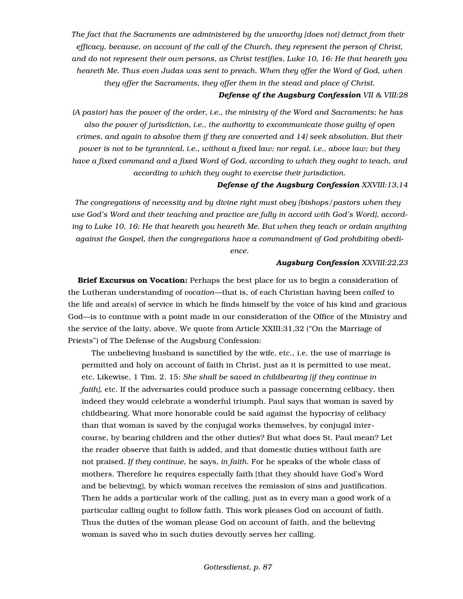*The fact that the Sacraments are administered by the unworthy [does not] detract from their efficacy, because, on account of the call of the Church, they represent the person of Christ, and do not represent their own persons, as Christ testifies, Luke 10, 16: He that heareth you heareth Me. Thus even Judas was sent to preach. When they offer the Word of God, when they offer the Sacraments, they offer them in the stead and place of Christ.*

#### *Defense of the Augsburg Confession VII & VIII:28*

*(A pastor) has the power of the order, i.e., the ministry of the Word and Sacraments; he has also the power of jurisdiction, i.e., the authority to excommunicate those guilty of open crimes, and again to absolve them if they are converted and 14] seek absolution. But their power is not to be tyrannical, i.e., without a fixed law; nor regal, i.e., above law; but they have a fixed command and a fixed Word of God, according to which they ought to teach, and according to which they ought to exercise their jurisdiction.*

#### *Defense of the Augsburg Confession XXVIII:13,14*

*The congregations of necessity and by divine right must obey [bishops/pastors when they use God's Word and their teaching and practice are fully in accord with God's Word], according to Luke 10, 16: He that heareth you heareth Me. But when they teach or ordain anything against the Gospel, then the congregations have a commandment of God prohibiting obedience.*

#### *Augsburg Confession XXVIII:22,23*

Brief Excursus on Vocation: Perhaps the best place for us to begin a consideration of the Lutheran understanding of *vocation—*that is, of each Christian having been *called* to the life and area(s) of service in which he finds himself by the voice of his kind and gracious God—is to continue with a point made in our consideration of the Office of the Ministry and the service of the laity, above. We quote from Article XXIII:31,32 ("On the Marriage of Priests") of The Defense of the Augsburg Confession:

The unbelieving husband is sanctified by the wife, etc., i.e. the use of marriage is permitted and holy on account of faith in Christ, just as it is permitted to use meat, etc. Likewise, 1 Tim. 2, 15: *She shall be saved in childbearing [if they continue in faith], etc.* If the adversaries could produce such a passage concerning celibacy, then indeed they would celebrate a wonderful triumph. Paul says that woman is saved by childbearing. What more honorable could be said against the hypocrisy of celibacy than that woman is saved by the conjugal works themselves, by conjugal intercourse, by bearing children and the other duties? But what does St. Paul mean? Let the reader observe that faith is added, and that domestic duties without faith are not praised. *If they continue,* he says, *in faith.* For he speaks of the whole class of mothers. Therefore he requires especially faith [that they should have God's Word and be believing], by which woman receives the remission of sins and justification. Then he adds a particular work of the calling, just as in every man a good work of a particular calling ought to follow faith. This work pleases God on account of faith. Thus the duties of the woman please God on account of faith, and the believing woman is saved who in such duties devoutly serves her calling.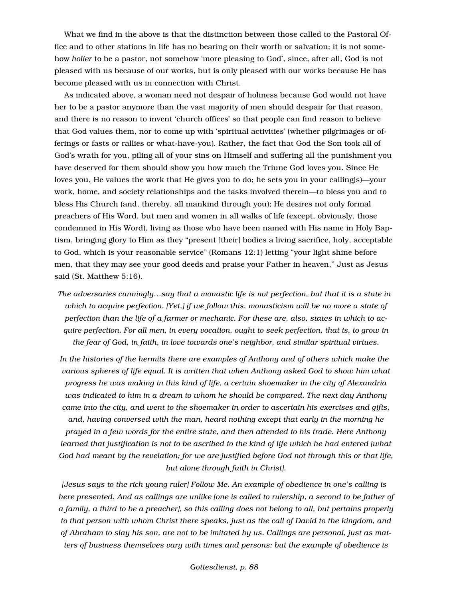What we find in the above is that the distinction between those called to the Pastoral Office and to other stations in life has no bearing on their worth or salvation; it is not somehow *holier* to be a pastor, not somehow 'more pleasing to God', since, after all, God is not pleased with us because of our works, but is only pleased with our works because He has become pleased with us in connection with Christ.

As indicated above, a woman need not despair of holiness because God would not have her to be a pastor anymore than the vast majority of men should despair for that reason, and there is no reason to invent 'church offices' so that people can find reason to believe that God values them, nor to come up with 'spiritual activities' (whether pilgrimages or offerings or fasts or rallies or what-have-you). Rather, the fact that God the Son took all of God's wrath for you, piling all of your sins on Himself and suffering all the punishment you have deserved for them should show you how much the Triune God loves you. Since He loves you, He values the work that He gives you to do; he sets you in your calling(s)—your work, home, and society relationships and the tasks involved therein—to bless you and to bless His Church (and, thereby, all mankind through you); He desires not only formal preachers of His Word, but men and women in all walks of life (except, obviously, those condemned in His Word), living as those who have been named with His name in Holy Baptism, bringing glory to Him as they "present [their] bodies a living sacrifice, holy, acceptable to God, which is your reasonable service" (Romans 12:1) letting "your light shine before men, that they may see your good deeds and praise your Father in heaven," Just as Jesus said (St. Matthew 5:16).

*The adversaries cunningly…say that a monastic life is not perfection, but that it is a state in which to acquire perfection. [Yet,] if we follow this, monasticism will be no more a state of perfection than the life of a farmer or mechanic. For these are, also, states in which to acquire perfection. For all men, in every vocation, ought to seek perfection, that is, to grow in the fear of God, in faith, in love towards one's neighbor, and similar spiritual virtues.*

In the histories of the hermits there are examples of Anthony and of others which make the *various spheres of life equal. It is written that when Anthony asked God to show him what progress he was making in this kind of life, a certain shoemaker in the city of Alexandria was indicated to him in a dream to whom he should be compared. The next day Anthony came into the city, and went to the shoemaker in order to ascertain his exercises and gifts, and, having conversed with the man, heard nothing except that early in the morning he prayed in a few words for the entire state, and then attended to his trade. Here Anthony learned that justification is not to be ascribed to the kind of life which he had entered [what God had meant by the revelation; for we are justified before God not through this or that life, but alone through faith in Christ].*

*[Jesus says to the rich young ruler] Follow Me. An example of obedience in one's calling is here presented. And as callings are unlike [one is called to rulership, a second to be father of a family, a third to be a preacher], so this calling does not belong to all, but pertains properly to that person with whom Christ there speaks, just as the call of David to the kingdom, and of Abraham to slay his son, are not to be imitated by us. Callings are personal, just as matters of business themselves vary with times and persons; but the example of obedience is*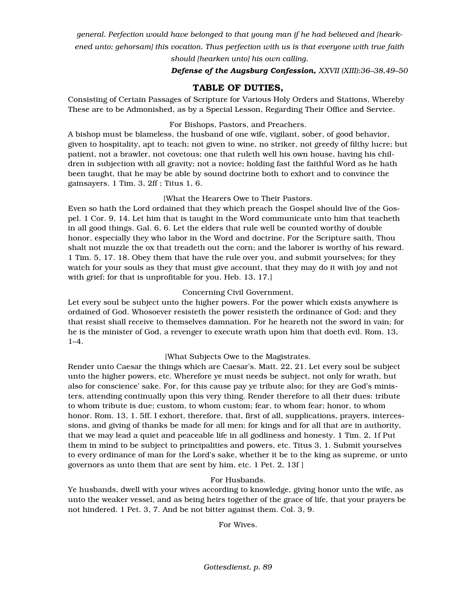*general. Perfection would have belonged to that young man if he had believed and [hearkened unto; gehorsam] this vocation. Thus perfection with us is that everyone with true faith* 

*should [hearken unto] his own calling.*

*Defense of the Augsburg Confession, XXVII (XIII):36–38,49–50*

# TABLE OF DUTIES,

Consisting of Certain Passages of Scripture for Various Holy Orders and Stations, Whereby These are to be Admonished, as by a Special Lesson, Regarding Their Office and Service.

## For Bishops, Pastors, and Preachers.

A bishop must be blameless, the husband of one wife, vigilant, sober, of good behavior, given to hospitality, apt to teach; not given to wine, no striker, not greedy of filthy lucre; but patient, not a brawler, not covetous; one that ruleth well his own house, having his children in subjection with all gravity; not a novice; holding fast the faithful Word as he hath been taught, that he may be able by sound doctrine both to exhort and to convince the gainsayers. 1 Tim. 3, 2ff ; Titus 1, 6.

## [What the Hearers Owe to Their Pastors.

Even so hath the Lord ordained that they which preach the Gospel should live of the Gospel. 1 Cor. 9, 14. Let him that is taught in the Word communicate unto him that teacheth in all good things. Gal. 6, 6. Let the elders that rule well be counted worthy of double honor, especially they who labor in the Word and doctrine. For the Scripture saith, Thou shalt not muzzle the ox that treadeth out the corn; and the laborer is worthy of his reward. 1 Tim. 5, 17. 18. Obey them that have the rule over you, and submit yourselves; for they watch for your souls as they that must give account, that they may do it with joy and not with grief; for that is unprofitable for you. Heb. 13, 17.]

## Concerning Civil Government.

Let every soul be subject unto the higher powers. For the power which exists anywhere is ordained of God. Whosoever resisteth the power resisteth the ordinance of God; and they that resist shall receive to themselves damnation. For he heareth not the sword in vain; for he is the minister of God, a revenger to execute wrath upon him that doeth evil. Rom. 13, 1–4.

## [What Subjects Owe to the Magistrates.

Render unto Caesar the things which are Caesar's. Matt. 22, 21. Let every soul be subject unto the higher powers, etc. Wherefore ye must needs be subject, not only for wrath, but also for conscience' sake. For, for this cause pay ye tribute also; for they are God's ministers, attending continually upon this very thing. Render therefore to all their dues: tribute to whom tribute is due; custom, to whom custom; fear, to whom fear; honor, to whom honor. Rom. 13, 1. 5ff. I exhort, therefore, that, first of all, supplications, prayers, intercessions, and giving of thanks be made for all men; for kings and for all that are in authority, that we may lead a quiet and peaceable life in all godliness and honesty. 1 Tim. 2, 1f Put them in mind to be subject to principalities and powers, etc. Titus 3, 1. Submit yourselves to every ordinance of man for the Lord's sake, whether it be to the king as supreme, or unto governors as unto them that are sent by him, etc. 1 Pet. 2, 13f ]

## For Husbands.

Ye husbands, dwell with your wives according to knowledge, giving honor unto the wife, as unto the weaker vessel, and as being heirs together of the grace of life, that your prayers be not hindered. 1 Pet. 3, 7. And be not bitter against them. Col. 3, 9.

For Wives.